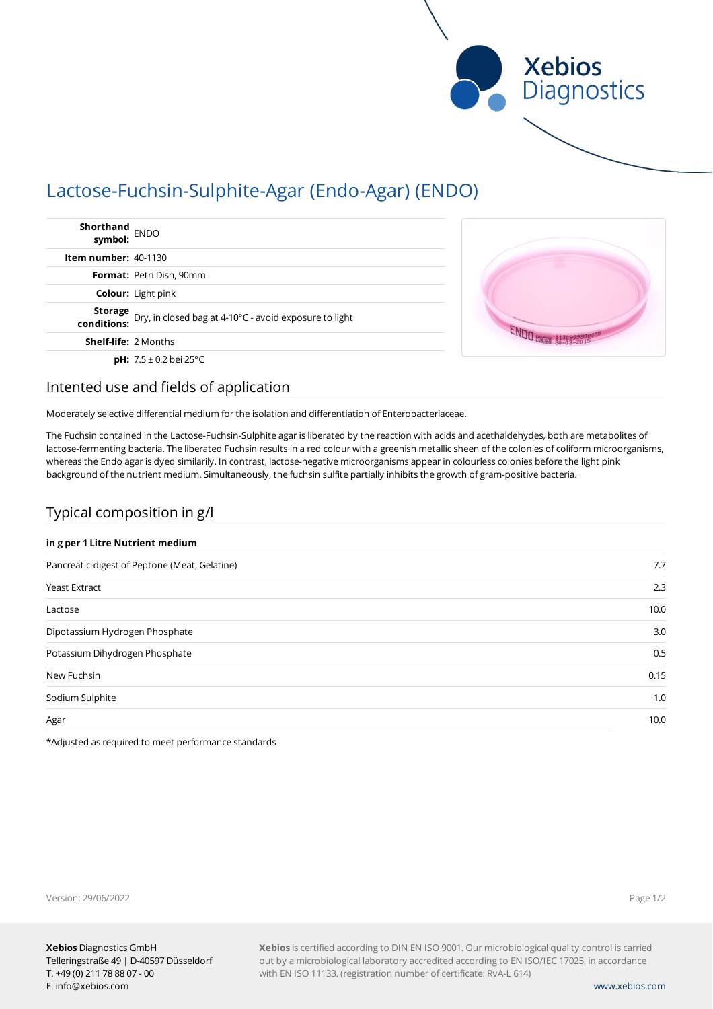

# Lactose-Fuchsin-Sulphite-Agar (Endo-Agar) (ENDO)

| Shorthand<br>symbol: ENDO                                                         |  |
|-----------------------------------------------------------------------------------|--|
| <b>Item number:</b> $40-1130$                                                     |  |
| Format: Petri Dish, 90mm                                                          |  |
| <b>Colour:</b> Light pink                                                         |  |
| <b>Storage</b> Dry, in closed bag at 4-10°C - avoid exposure to light conditions: |  |
| <b>Shelf-life: 2 Months</b>                                                       |  |
| <b>pH:</b> $7.5 \pm 0.2$ bei 25°C                                                 |  |

# Intented use and fields of application

Moderately selective differential medium for the isolation and differentiation of Enterobacteriaceae.

The Fuchsin contained in the Lactose-Fuchsin-Sulphite agar is liberated by the reaction with acids and acethaldehydes, both are metabolites of lactose-fermenting bacteria. The liberated Fuchsin results in a red colour with a greenish metallic sheen of the colonies of coliform microorganisms, whereas the Endo agar is dyed similarily. In contrast, lactose-negative microorganisms appear in colourless colonies before the light pink background of the nutrient medium. Simultaneously, the fuchsin sulfite partially inhibits the growth of gram-positive bacteria.

# Typical composition in g/l

### **in g per 1 Litre Nutrient medium**

| Pancreatic-digest of Peptone (Meat, Gelatine) | 7.7  |
|-----------------------------------------------|------|
| <b>Yeast Extract</b>                          | 2.3  |
| Lactose                                       | 10.0 |
| Dipotassium Hydrogen Phosphate                | 3.0  |
| Potassium Dihydrogen Phosphate                | 0.5  |
| New Fuchsin                                   | 0.15 |
| Sodium Sulphite                               | 1.0  |
| Agar                                          | 10.0 |

\*Adjusted as required to meet performance standards

Page 1/2

Version: 29/06/2022

**Xebios** is certified according to DIN EN ISO 9001. Our microbiological quality control is carried out by a microbiological laboratory accredited according to EN ISO/IEC 17025, in accordance with EN ISO 11133. (registration number of certificate: RvA-L 614)